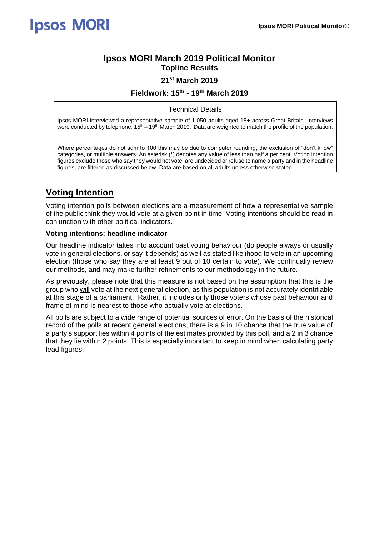### **Ipsos MORI March 2019 Political Monitor Topline Results**

### **21st March 2019**

### **Fieldwork: 15th - 19th March 2019**

Technical Details

Ipsos MORI interviewed a representative sample of 1,050 adults aged 18+ across Great Britain. Interviews were conducted by telephone:  $15<sup>th</sup> - 19<sup>th</sup>$  March 2019. Data are weighted to match the profile of the population.

Where percentages do not sum to 100 this may be due to computer rounding, the exclusion of "don't know" categories, or multiple answers. An asterisk (\*) denotes any value of less than half a per cent. Voting intention figures exclude those who say they would not vote, are undecided or refuse to name a party and in the headline figures, are filtered as discussed below. Data are based on all adults unless otherwise stated

## **Voting Intention**

Voting intention polls between elections are a measurement of how a representative sample of the public think they would vote at a given point in time. Voting intentions should be read in conjunction with other political indicators.

#### **Voting intentions: headline indicator**

Our headline indicator takes into account past voting behaviour (do people always or usually vote in general elections, or say it depends) as well as stated likelihood to vote in an upcoming election (those who say they are at least 9 out of 10 certain to vote). We continually review our methods, and may make further refinements to our methodology in the future.

As previously, please note that this measure is not based on the assumption that this is the group who will vote at the next general election, as this population is not accurately identifiable at this stage of a parliament. Rather, it includes only those voters whose past behaviour and frame of mind is nearest to those who actually vote at elections.

All polls are subject to a wide range of potential sources of error. On the basis of the historical record of the polls at recent general elections, there is a 9 in 10 chance that the true value of a party's support lies within 4 points of the estimates provided by this poll, and a 2 in 3 chance that they lie within 2 points. This is especially important to keep in mind when calculating party lead figures.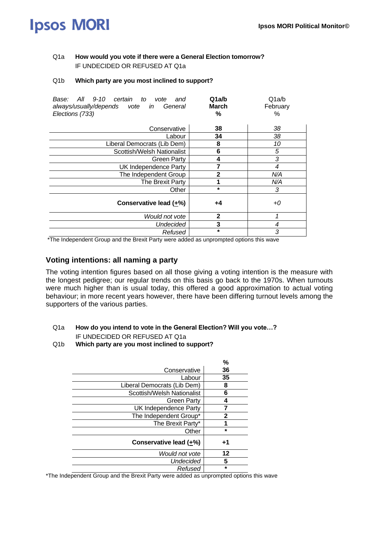### Q1a **How would you vote if there were a General Election tomorrow?**  IF UNDECIDED OR REFUSED AT Q1a

#### Q1b **Which party are you most inclined to support?**

| All 9-10<br>certain to<br>Base:<br>and<br>vote<br>always/usually/depends vote in<br>General<br>Elections (733) | Q1a/b<br><b>March</b><br>℅ | Q1a/b<br>February<br>% |
|----------------------------------------------------------------------------------------------------------------|----------------------------|------------------------|
| Conservative                                                                                                   | 38                         | 38                     |
| Labour                                                                                                         | 34                         | 38                     |
| Liberal Democrats (Lib Dem)                                                                                    | 8                          | 10                     |
| Scottish/Welsh Nationalist                                                                                     | 6                          | 5                      |
| <b>Green Party</b>                                                                                             | 4                          | 3                      |
| UK Independence Party                                                                                          | 7                          | 4                      |
| The Independent Group                                                                                          | 2                          | N/A                    |
| The Brexit Party                                                                                               |                            | N/A                    |
| Other                                                                                                          | $\star$                    | 3                      |
| Conservative lead (+%)                                                                                         | +4                         | +0                     |
| Would not vote                                                                                                 | $\mathbf{2}$               | 1                      |
| <b>Undecided</b>                                                                                               | 3                          | 4                      |
| Refused                                                                                                        | *                          | 3                      |

\*The Independent Group and the Brexit Party were added as unprompted options this wave

### **Voting intentions: all naming a party**

The voting intention figures based on all those giving a voting intention is the measure with the longest pedigree; our regular trends on this basis go back to the 1970s. When turnouts were much higher than is usual today, this offered a good approximation to actual voting behaviour; in more recent years however, there have been differing turnout levels among the supporters of the various parties.

### Q1a **How do you intend to vote in the General Election? Will you vote…?** IF UNDECIDED OR REFUSED AT Q1a

Q1b **Which party are you most inclined to support?** 

|                             | %            |
|-----------------------------|--------------|
| Conservative                | 36           |
| Labour                      | 35           |
| Liberal Democrats (Lib Dem) | 8            |
| Scottish/Welsh Nationalist  | 6            |
| Green Party                 | 4            |
| UK Independence Party       |              |
| The Independent Group*      | $\mathbf{2}$ |
| The Brexit Party*           |              |
| Other                       | $\star$      |
| Conservative lead (+%)      | +1           |
| Would not vote              | 12           |
| Undecided                   | 5            |
| Refused                     | $\star$      |

\*The Independent Group and the Brexit Party were added as unprompted options this wave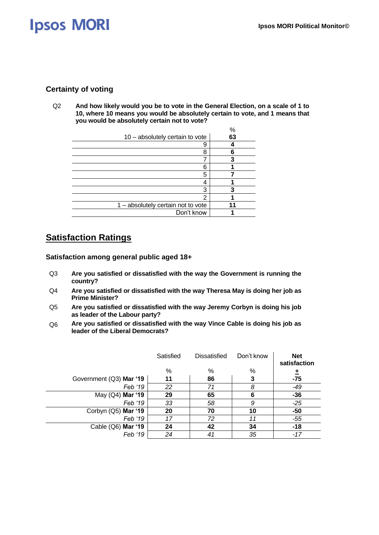### **Certainty of voting**

Q2 **And how likely would you be to vote in the General Election, on a scale of 1 to 10, where 10 means you would be absolutely certain to vote, and 1 means that you would be absolutely certain not to vote?**

|                                    | %  |
|------------------------------------|----|
| 10 - absolutely certain to vote    | 63 |
| 9                                  |    |
| 8                                  |    |
|                                    |    |
| 6                                  |    |
| 5                                  |    |
| 4                                  |    |
| 3                                  |    |
| 2                                  |    |
| 1 - absolutely certain not to vote |    |
| Don't know                         |    |

## **Satisfaction Ratings**

**Satisfaction among general public aged 18+**

- Q3 **Are you satisfied or dissatisfied with the way the Government is running the country?**
- Q4 **Are you satisfied or dissatisfied with the way Theresa May is doing her job as Prime Minister?**
- Q5 **Are you satisfied or dissatisfied with the way Jeremy Corbyn is doing his job as leader of the Labour party?**
- Q6 **Are you satisfied or dissatisfied with the way Vince Cable is doing his job as leader of the Liberal Democrats?**

|                         | Satisfied | <b>Dissatisfied</b> | Don't know | <b>Net</b><br>satisfaction |
|-------------------------|-----------|---------------------|------------|----------------------------|
|                         | %         | %                   | $\%$       | ±                          |
| Government (Q3) Mar '19 | 11        | 86                  | 3          | $-75$                      |
| Feb '19                 | 22        | 71                  | 8          | $-49$                      |
| May (Q4) Mar '19        | 29        | 65                  | 6          | $-36$                      |
| Feb '19                 | 33        | 58                  | 9          | $-25$                      |
| Corbyn (Q5) Mar '19     | 20        | 70                  | 10         | $-50$                      |
| Feb '19                 | 17        | 72                  | 11         | $-55$                      |
| Cable (Q6) Mar '19      | 24        | 42                  | 34         | $-18$                      |
| Feb '19                 | 24        | 41                  | 35         | $-17$                      |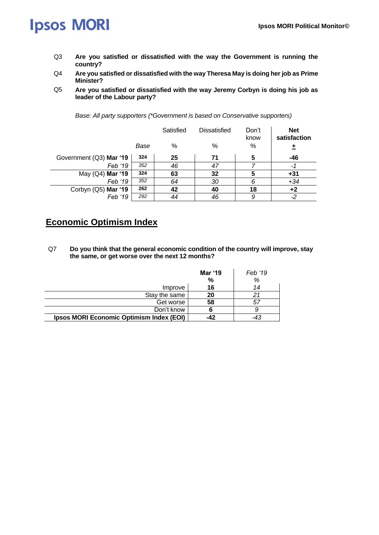- Q3 **Are you satisfied or dissatisfied with the way the Government is running the country?**
- Q4 **Are you satisfied or dissatisfied with the way Theresa May is doing her job as Prime Minister?**
- Q5 **Are you satisfied or dissatisfied with the way Jeremy Corbyn is doing his job as leader of the Labour party?**

|                         |      | Satisfied | <b>Dissatisfied</b> | Don't<br>know | <b>Net</b><br>satisfaction |
|-------------------------|------|-----------|---------------------|---------------|----------------------------|
|                         | Base | %         | %                   | %             | 土                          |
| Government (Q3) Mar '19 | 324  | 25        | 71                  | 5             | $-46$                      |
| Feb '19                 | 352  | 46        | 47                  |               | -1                         |
| May (Q4) Mar '19        | 324  | 63        | 32                  | 5             | $+31$                      |
| Feb '19                 | 352  | 64        | 30                  | 6             | $+34$                      |
| Corbyn (Q5) Mar '19     | 262  | 42        | 40                  | 18            | $+2$                       |
| Feb '19                 | 292  | 44        | 46                  | 9             | -2                         |

*Base: All party supporters (\*Government is based on Conservative supporters)*

## **Economic Optimism Index**

Q7 **Do you think that the general economic condition of the country will improve, stay the same, or get worse over the next 12 months?**

|                                          | <b>Mar '19</b> | Feb '19 |
|------------------------------------------|----------------|---------|
|                                          | %              | %       |
| Improve                                  | 16             | 14      |
| Stay the same                            | 20             | 21      |
| Get worse                                | 58             | 57      |
| Don't know                               |                | 9       |
| Ipsos MORI Economic Optimism Index (EOI) | $-42$          | -43     |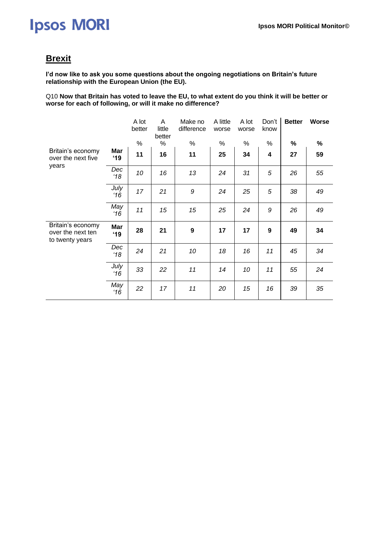### **Brexit**

**I'd now like to ask you some questions about the ongoing negotiations on Britain's future relationship with the European Union (the EU).**

Q10 **Now that Britain has voted to leave the EU, to what extent do you think it will be better or worse for each of following, or will it make no difference?**

|                                                           |                       | A lot<br>better | A<br>little<br>better | Make no<br>difference | A little<br>worse | A lot<br>worse | Don't<br>know | <b>Better</b> | <b>Worse</b> |
|-----------------------------------------------------------|-----------------------|-----------------|-----------------------|-----------------------|-------------------|----------------|---------------|---------------|--------------|
|                                                           |                       | $\%$            | %                     | %                     | %                 | %              | %             | %             | %            |
| Britain's economy<br>over the next five                   | Mar<br>$^{\prime}$ 19 | 11              | 16                    | 11                    | 25                | 34             | 4             | 27            | 59           |
| years                                                     | Dec<br>18             | 10              | 16                    | 13                    | 24                | 31             | 5             | 26            | 55           |
|                                                           | July<br>16            | 17              | 21                    | 9                     | 24                | 25             | 5             | 38            | 49           |
|                                                           | May<br>16             | 11              | 15                    | 15                    | 25                | 24             | 9             | 26            | 49           |
| Britain's economy<br>over the next ten<br>to twenty years | Mar<br>$^4$ 19        | 28              | 21                    | 9                     | 17                | 17             | 9             | 49            | 34           |
|                                                           | Dec<br>18             | 24              | 21                    | 10                    | 18                | 16             | 11            | 45            | 34           |
|                                                           | July<br>16            | 33              | 22                    | 11                    | 14                | 10             | 11            | 55            | 24           |
|                                                           | May<br>16             | 22              | 17                    | 11                    | 20                | 15             | 16            | 39            | 35           |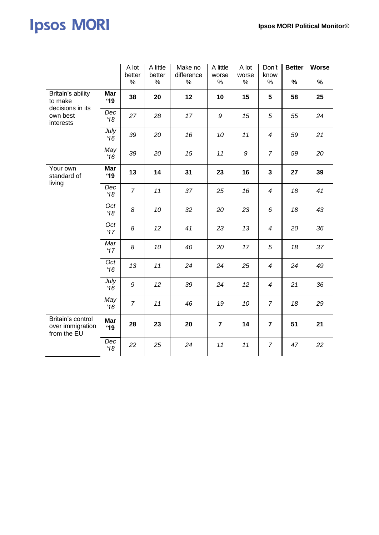|                                                      |                      | A lot<br>better<br>% | A little<br>better<br>$\%$ | Make no<br>difference<br>$\%$ | A little<br>worse<br>% | A lot<br>worse<br>% | Don't<br>know<br>% | <b>Better</b><br>% | Worse<br>% |
|------------------------------------------------------|----------------------|----------------------|----------------------------|-------------------------------|------------------------|---------------------|--------------------|--------------------|------------|
| Britain's ability<br>to make                         | Mar<br>'19           | 38                   | 20                         | 12                            | 10                     | 15                  | 5                  | 58                 | 25         |
| decisions in its<br>own best<br>interests            | Dec<br>18            | 27                   | 28                         | 17                            | 9                      | 15                  | 5                  | 55                 | 24         |
|                                                      | July<br>16           | 39                   | 20                         | 16                            | 10                     | 11                  | 4                  | 59                 | 21         |
|                                                      | May<br>16            | 39                   | 20                         | 15                            | 11                     | 9                   | $\overline{7}$     | 59                 | 20         |
| Your own<br>standard of<br>living                    | Mar<br>'19           | 13                   | 14                         | 31                            | 23                     | 16                  | 3                  | 27                 | 39         |
|                                                      | Dec<br>$^{\prime}18$ | $\overline{7}$       | 11                         | 37                            | 25                     | 16                  | $\boldsymbol{4}$   | 18                 | 41         |
|                                                      | Oct<br>18            | 8                    | 10                         | 32                            | 20                     | 23                  | 6                  | 18                 | 43         |
|                                                      | Oct<br>17'           | 8                    | 12                         | 41                            | 23                     | 13                  | $\boldsymbol{4}$   | 20                 | 36         |
|                                                      | Mar<br>17'           | 8                    | 10                         | 40                            | 20                     | 17                  | 5                  | 18                 | 37         |
|                                                      | Oct<br>16            | 13                   | 11                         | 24                            | 24                     | 25                  | $\boldsymbol{4}$   | 24                 | 49         |
|                                                      | July<br>16           | 9                    | 12 <sup>2</sup>            | 39                            | 24                     | 12                  | 4                  | 21                 | 36         |
|                                                      | May<br>16            | $\overline{7}$       | 11                         | 46                            | 19                     | 10                  | $\overline{7}$     | 18                 | 29         |
| Britain's control<br>over immigration<br>from the EU | Mar<br>'19           | 28                   | 23                         | 20                            | $\overline{7}$         | 14                  | $\overline{7}$     | 51                 | 21         |
|                                                      | Dec<br>18            | 22                   | 25                         | 24                            | 11                     | 11                  | $\overline{7}$     | 47                 | 22         |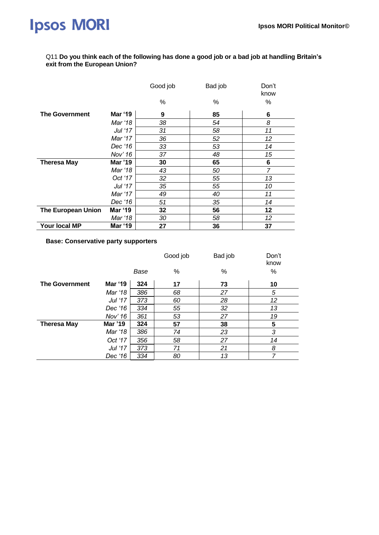#### Q11 **Do you think each of the following has done a good job or a bad job at handling Britain's exit from the European Union?**

|                           |                | Good job | Bad job | Don't<br>know  |
|---------------------------|----------------|----------|---------|----------------|
|                           |                | %        | %       | %              |
| <b>The Government</b>     | <b>Mar '19</b> | 9        | 85      | 6              |
|                           | Mar '18        | 38       | 54      | 8              |
|                           | Jul '17        | 31       | 58      | 11             |
|                           | Mar '17        | 36       | 52      | 12             |
|                           | Dec '16        | 33       | 53      | 14             |
|                           | Nov' 16        | 37       | 48      | 15             |
| <b>Theresa May</b>        | <b>Mar '19</b> | 30       | 65      | 6              |
|                           | Mar '18        | 43       | 50      | $\overline{7}$ |
|                           | Oct '17        | 32       | 55      | 13             |
|                           | Jul '17        | 35       | 55      | 10             |
|                           | Mar '17        | 49       | 40      | 11             |
|                           | Dec '16        | 51       | 35      | 14             |
| <b>The European Union</b> | <b>Mar '19</b> | 32       | 56      | 12             |
|                           | Mar '18        | 30       | 58      | 12             |
| Your local MP             | Mar '19        | 27       | 36      | 37             |

**Base: Conservative party supporters** 

|                       |                |      | Good job | Bad job | Don't<br>know |
|-----------------------|----------------|------|----------|---------|---------------|
|                       |                | Base | %        | %       | %             |
| <b>The Government</b> | <b>Mar '19</b> | 324  | 17       | 73      | 10            |
|                       | Mar '18        | 386  | 68       | 27      | 5             |
|                       | Jul '17        | 373  | 60       | 28      | 12            |
|                       | Dec '16        | 334  | 55       | 32      | 13            |
|                       | Nov' 16        | 361  | 53       | 27      | 19            |
| <b>Theresa May</b>    | Mar '19        | 324  | 57       | 38      | 5             |
|                       | Mar '18        | 386  | 74       | 23      | 3             |
|                       | Oct '17        | 356  | 58       | 27      | 14            |
|                       | Jul '17        | 373  | 71       | 21      | 8             |
|                       | Dec '16        | 334  | 80       | 13      | 7             |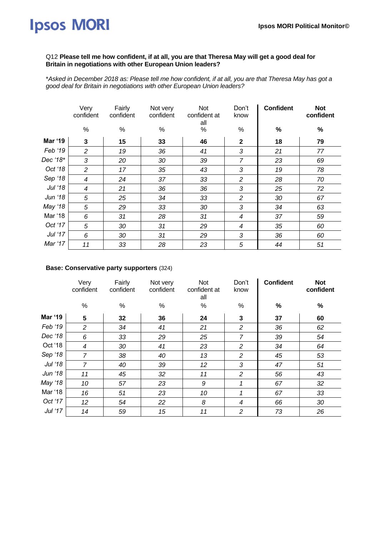#### Q12 **Please tell me how confident, if at all, you are that Theresa May will get a good deal for Britain in negotiations with other European Union leaders?**

\**Asked in December 2018 as: Please tell me how confident, if at all, you are that Theresa May has got a good deal for Britain in negotiations with other European Union leaders?*

|          | Very<br>confident | Fairly<br>confident | Not very<br>confident | Not<br>confident at<br>all | Don't<br>know  | <b>Confident</b> | <b>Not</b><br>confident |
|----------|-------------------|---------------------|-----------------------|----------------------------|----------------|------------------|-------------------------|
|          | $\%$              | $\%$                | %                     | %                          | $\%$           | $\%$             | $\%$                    |
| Mar '19  | 3                 | 15                  | 33                    | 46                         | $\mathbf{2}$   | 18               | 79                      |
| Feb '19  | $\mathcal{P}$     | 19                  | 36                    | 41                         | 3              | 21               | 77                      |
| Dec '18* | 3                 | 20                  | 30                    | 39                         | $\overline{7}$ | 23               | 69                      |
| Oct '18  | 2                 | 17                  | 35                    | 43                         | 3              | 19               | 78                      |
| Sep '18  | 4                 | 24                  | 37                    | 33                         | $\overline{c}$ | 28               | 70                      |
| Jul '18  | 4                 | 21                  | 36                    | 36                         | 3              | 25               | 72                      |
| Jun '18  | 5                 | 25                  | 34                    | 33                         | $\overline{c}$ | 30               | 67                      |
| May '18  | 5                 | 29                  | 33                    | 30                         | 3              | 34               | 63                      |
| Mar '18  | 6                 | 31                  | 28                    | 31                         | $\overline{4}$ | 37               | 59                      |
| Oct '17  | 5                 | 30                  | 31                    | 29                         | 4              | 35               | 60                      |
| Jul '17  | 6                 | 30                  | 31                    | 29                         | 3              | 36               | 60                      |
| Mar '17  | 11                | 33                  | 28                    | 23                         | 5              | 44               | 51                      |

#### **Base: Conservative party supporters** (324)

|         | Very<br>confident | Fairly<br>confident | Not very<br>confident | Not<br>confident at<br>all | Don't<br>know  | <b>Confident</b> | <b>Not</b><br>confident |
|---------|-------------------|---------------------|-----------------------|----------------------------|----------------|------------------|-------------------------|
|         | %                 | $\%$                | %                     | $\%$                       | $\%$           | $\%$             | $\%$                    |
| Mar '19 | 5                 | 32                  | 36                    | 24                         | 3              | 37               | 60                      |
| Feb '19 | 2                 | 34                  | 41                    | 21                         | $\overline{2}$ | 36               | 62                      |
| Dec '18 | 6                 | 33                  | 29                    | 25                         | $\overline{7}$ | 39               | 54                      |
| Oct '18 | $\overline{4}$    | 30                  | 41                    | 23                         | 2              | 34               | 64                      |
| Sep '18 | $\overline{7}$    | 38                  | 40                    | 13                         | $\overline{2}$ | 45               | 53                      |
| Jul '18 | $\overline{7}$    | 40                  | 39                    | 12                         | 3              | 47               | 51                      |
| Jun '18 | 11                | 45                  | 32                    | 11                         | $\overline{2}$ | 56               | 43                      |
| May '18 | 10                | 57                  | 23                    | 9                          | 1              | 67               | 32                      |
| Mar '18 | 16                | 51                  | 23                    | 10                         | 1              | 67               | 33                      |
| Oct '17 | 12                | 54                  | 22                    | 8                          | 4              | 66               | 30                      |
| Jul '17 | 14                | 59                  | 15                    | 11                         | $\overline{2}$ | 73               | 26                      |